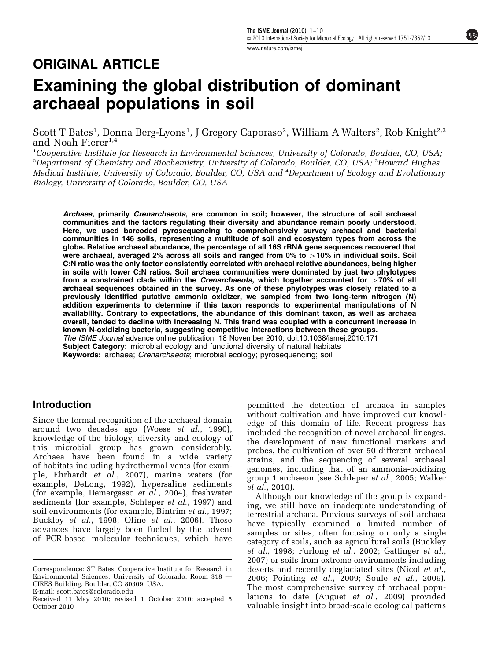# ORIGINAL ARTICLE

# Examining the global distribution of dominant archaeal populations in soil

Scott T Bates<sup>1</sup>, Donna Berg-Lyons<sup>1</sup>, J Gregory Caporaso<sup>2</sup>, William A Walters<sup>2</sup>, Rob Knight<sup>2,3</sup> and Noah Fierer<sup>1,4</sup>

<sup>1</sup>Cooperative Institute for Research in Environmental Sciences, University of Colorado, Boulder, CO, USA,  $^{2}$ Department of Chemistry and Biochemistry, University of Colorado, Boulder, CO, USA;  $^{3}$ Howard Hughes Medical Institute, University of Colorado, Boulder, CO, USA and <sup>4</sup> Department of Ecology and Evolutionary Biology, University of Colorado, Boulder, CO, USA

Archaea, primarily Crenarchaeota, are common in soil; however, the structure of soil archaeal communities and the factors regulating their diversity and abundance remain poorly understood. Here, we used barcoded pyrosequencing to comprehensively survey archaeal and bacterial communities in 146 soils, representing a multitude of soil and ecosystem types from across the globe. Relative archaeal abundance, the percentage of all 16S rRNA gene sequences recovered that were archaeal, averaged 2% across all soils and ranged from 0% to  $>$ 10% in individual soils. Soil C:N ratio was the only factor consistently correlated with archaeal relative abundances, being higher in soils with lower C:N ratios. Soil archaea communities were dominated by just two phylotypes from a constrained clade within the Crenarchaeota, which together accounted for  $>70\%$  of all archaeal sequences obtained in the survey. As one of these phylotypes was closely related to a previously identified putative ammonia oxidizer, we sampled from two long-term nitrogen (N) addition experiments to determine if this taxon responds to experimental manipulations of N availability. Contrary to expectations, the abundance of this dominant taxon, as well as archaea overall, tended to decline with increasing N. This trend was coupled with a concurrent increase in known N-oxidizing bacteria, suggesting competitive interactions between these groups. The ISME Journal advance online publication, 18 November 2010; doi[:10.1038/ismej.2010.171](http://dx.doi.org/10.1038/ismej.2010.171) Subject Category: microbial ecology and functional diversity of natural habitats Keywords: archaea; Crenarchaeota; microbial ecology; pyrosequencing; soil

# Introduction

Since the formal recognition of the archaeal domain around two decades ago (Woese et al[., 1990\)](#page-9-0), knowledge of the biology, diversity and ecology of this microbial group has grown considerably. Archaea have been found in a wide variety of habitats including hydrothermal vents (for example, [Ehrhardt](#page-8-0) et al., 2007), marine waters (for example, [DeLong, 1992\)](#page-8-0), hypersaline sediments (for example, [Demergasso](#page-8-0) et al., 2004), freshwater sediments (for example, [Schleper](#page-9-0) et al., 1997) and soil environments (for example, [Bintrim](#page-8-0) et al., 1997; [Buckley](#page-8-0) et al., 1998; Oline et al[., 2006\)](#page-9-0). These advances have largely been fueled by the advent of PCR-based molecular techniques, which have

E-mail: [scott.bates@colorado.edu](mailto:scott.bates@colorado.edu)

permitted the detection of archaea in samples without cultivation and have improved our knowledge of this domain of life. Recent progress has included the recognition of novel archaeal lineages, the development of new functional markers and probes, the cultivation of over 50 different archaeal strains, and the sequencing of several archaeal genomes, including that of an ammonia-oxidizing group 1 archaeon (see [Schleper](#page-9-0) et al., 2005; [Walker](#page-9-0) et al[., 2010\)](#page-9-0).

Although our knowledge of the group is expanding, we still have an inadequate understanding of terrestrial archaea. Previous surveys of soil archaea have typically examined a limited number of samples or sites, often focusing on only a single category of soils, such as agricultural soils ([Buckley](#page-8-0) et al[., 1998; Furlong](#page-8-0) et al., 2002; [Gattinger](#page-8-0) et al., [2007\)](#page-8-0) or soils from extreme environments including deserts and recently deglaciated sites [\(Nicol](#page-9-0) et al., [2006; Pointing](#page-9-0) et al., 2009; Soule et al[., 2009\)](#page-9-0). The most comprehensive survey of archaeal populations to date (Auguet et al[., 2009](#page-8-0)) provided Received 11 May 2010; revised 1 October 2010; accepted 5 lations to date (Auguet *et al.*, 2009) provided valuable insight into broad-scale ecological patterns valuable insight into broad-scale ecological patterns

Correspondence: ST Bates, Cooperative Institute for Research in Environmental Sciences, University of Colorado, Room 318 — CIRES Building, Boulder, CO 80309, USA.

October 2010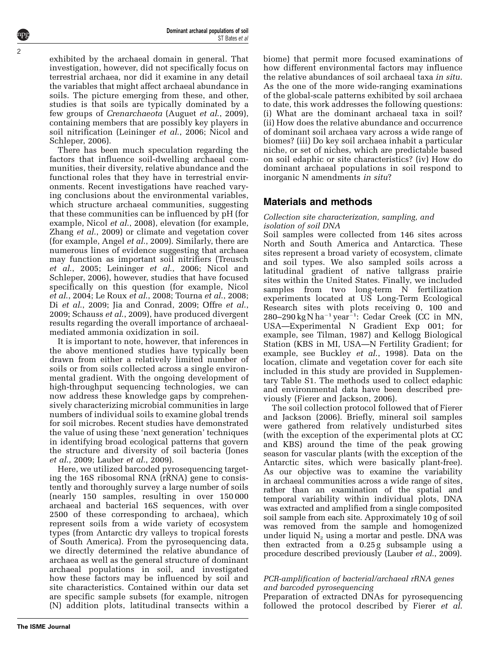**The ISME Journal**

exhibited by the archaeal domain in general. That investigation, however, did not specifically focus on terrestrial archaea, nor did it examine in any detail the variables that might affect archaeal abundance in soils. The picture emerging from these, and other, studies is that soils are typically dominated by a few groups of Crenarchaeota [\(Auguet](#page-8-0) et al., 2009), containing members that are possibly key players in soil nitrification [\(Leininger](#page-9-0) et al., 2006; [Nicol and](#page-9-0) [Schleper, 2006\)](#page-9-0).

There has been much speculation regarding the factors that influence soil-dwelling archaeal communities, their diversity, relative abundance and the functional roles that they have in terrestrial environments. Recent investigations have reached varying conclusions about the environmental variables, which structure archaeal communities, suggesting that these communities can be influenced by pH (for example, Nicol et al[., 2008](#page-9-0)), elevation (for example, Zhang et al[., 2009](#page-9-0)) or climate and vegetation cover (for example, Angel et al[., 2009](#page-8-0)). Similarly, there are numerous lines of evidence suggesting that archaea may function as important soil nitrifiers [\(Treusch](#page-9-0) et al[., 2005; Leininger](#page-9-0) et al., 2006; [Nicol and](#page-9-0) [Schleper, 2006](#page-9-0)), however, studies that have focused specifically on this question (for example, [Nicol](#page-9-0) et al[., 2004](#page-9-0); [Le Roux](#page-9-0) et al., 2008; [Tourna](#page-9-0) et al., 2008; Di *et al.*, 2009; [Jia and Conrad, 2009](#page-8-0); [Offre](#page-9-0) *et al.*, [2009; Schauss](#page-9-0) et al., 2009), have produced divergent results regarding the overall importance of archaealmediated ammonia oxidization in soil.

It is important to note, however, that inferences in the above mentioned studies have typically been drawn from either a relatively limited number of soils or from soils collected across a single environmental gradient. With the ongoing development of high-throughput sequencing technologies, we can now address these knowledge gaps by comprehensively characterizing microbial communities in large numbers of individual soils to examine global trends for soil microbes. Recent studies have demonstrated the value of using these 'next generation' techniques in identifying broad ecological patterns that govern the structure and diversity of soil bacteria [\(Jones](#page-9-0) et al[., 2009; Lauber](#page-9-0) et al., 2009).

Here, we utilized barcoded pyrosequencing targeting the 16S ribosomal RNA (rRNA) gene to consistently and thoroughly survey a large number of soils (nearly 150 samples, resulting in over 150 000 archaeal and bacterial 16S sequences, with over 2500 of these corresponding to archaea), which represent soils from a wide variety of ecosystem types (from Antarctic dry valleys to tropical forests of South America). From the pyrosequencing data, we directly determined the relative abundance of archaea as well as the general structure of dominant archaeal populations in soil, and investigated how these factors may be influenced by soil and site characteristics. Contained within our data set are specific sample subsets (for example, nitrogen (N) addition plots, latitudinal transects within a biome) that permit more focused examinations of how different environmental factors may influence the relative abundances of soil archaeal taxa in situ. As the one of the more wide-ranging examinations of the global-scale patterns exhibited by soil archaea to date, this work addresses the following questions: (i) What are the dominant archaeal taxa in soil? (ii) How does the relative abundance and occurrence of dominant soil archaea vary across a wide range of biomes? (iii) Do key soil archaea inhabit a particular niche, or set of niches, which are predictable based on soil edaphic or site characteristics? (iv) How do dominant archaeal populations in soil respond to inorganic N amendments in situ?

# Materials and methods

#### Collection site characterization, sampling, and isolation of soil DNA

Soil samples were collected from 146 sites across North and South America and Antarctica. These sites represent a broad variety of ecosystem, climate and soil types. We also sampled soils across a latitudinal gradient of native tallgrass prairie sites within the United States. Finally, we included samples from two long-term N fertilization experiments located at US Long-Term Ecological Research sites with plots receiving 0, 100 and  $280-290 \text{ kg N} \text{ ha}^{-1} \text{ year}^{-1}$ : Cedar Creek (CC in MN, USA—Experimental N Gradient Exp 001; for example, see [Tilman, 1987](#page-9-0)) and Kellogg Biological Station (KBS in MI, USA—N Fertility Gradient; for example, see [Buckley](#page-8-0) et al., 1998). Data on the location, climate and vegetation cover for each site included in this study are provided in Supplementary Table S1. The methods used to collect edaphic and environmental data have been described previously ([Fierer and Jackson, 2006](#page-8-0)).

The soil collection protocol followed that of [Fierer](#page-8-0) [and Jackson \(2006\)](#page-8-0). Briefly, mineral soil samples were gathered from relatively undisturbed sites (with the exception of the experimental plots at CC and KBS) around the time of the peak growing season for vascular plants (with the exception of the Antarctic sites, which were basically plant-free). As our objective was to examine the variability in archaeal communities across a wide range of sites, rather than an examination of the spatial and temporal variability within individual plots, DNA was extracted and amplified from a single composited soil sample from each site. Approximately 10 g of soil was removed from the sample and homogenized under liquid  $N_2$  using a mortar and pestle. DNA was then extracted from a 0.25 g subsample using a procedure described previously [\(Lauber](#page-9-0) et al., 2009).

# PCR-amplification of bacterial/archaeal rRNA genes and barcoded pyrosequencing

Preparation of extracted DNAs for pyrosequencing followed the protocol described by [Fierer](#page-8-0) et al.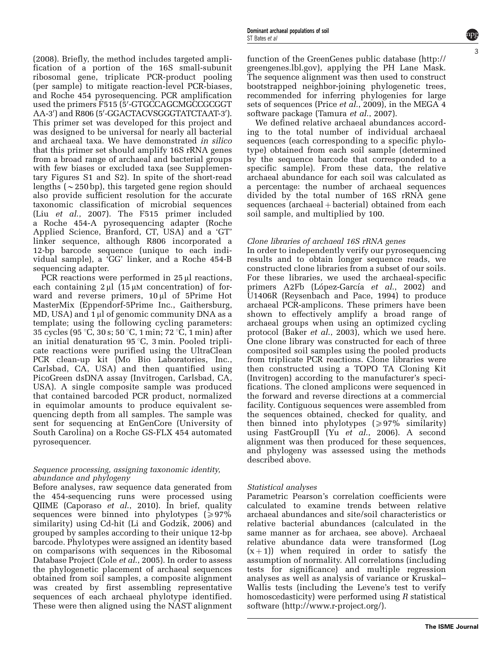[\(2008\)](#page-8-0). Briefly, the method includes targeted amplification of a portion of the 16S small-subunit ribosomal gene, triplicate PCR-product pooling (per sample) to mitigate reaction-level PCR-biases, and Roche 454 pyrosequencing. PCR amplification used the primers F515 (5'-GTGCCAGCMGCCGCGGT AA-3') and R806 (5'-GGACTACVSGGGTATCTAAT-3'). This primer set was developed for this project and was designed to be universal for nearly all bacterial and archaeal taxa. We have demonstrated in silico

that this primer set should amplify 16S rRNA genes from a broad range of archaeal and bacterial groups with few biases or excluded taxa (see Supplementary Figures S1 and S2). In spite of the short-read lengths ( $\sim$ 250 bp), this targeted gene region should also provide sufficient resolution for the accurate taxonomic classification of microbial sequences (Liu et al[., 2007\)](#page-9-0). The F515 primer included a Roche 454-A pyrosequencing adapter (Roche Applied Science, Branford, CT, USA) and a 'GT' linker sequence, although R806 incorporated a 12-bp barcode sequence (unique to each individual sample), a 'GG' linker, and a Roche 454-B sequencing adapter.

PCR reactions were performed in  $25 \mu l$  reactions, each containing  $2 \mu$  (15  $\mu$ M concentration) of forward and reverse primers, 10 µl of 5Prime Hot MasterMix (Eppendorf-5Prime Inc., Gaithersburg, MD, USA) and  $1 \mu l$  of genomic community DNA as a template; using the following cycling parameters: 35 cycles (95 °C, 30 s; 50 °C, 1 min; 72 °C, 1 min) after an initial denaturation 95 $\degree$ C, 3 min. Pooled triplicate reactions were purified using the UltraClean PCR clean-up kit (Mo Bio Laboratories, Inc., Carlsbad, CA, USA) and then quantified using PicoGreen dsDNA assay (Invitrogen, Carlsbad, CA, USA). A single composite sample was produced that contained barcoded PCR product, normalized in equimolar amounts to produce equivalent sequencing depth from all samples. The sample was sent for sequencing at EnGenCore (University of South Carolina) on a Roche GS-FLX 454 automated pyrosequencer.

#### Sequence processing, assigning taxonomic identity, abundance and phylogeny

Before analyses, raw sequence data generated from the 454-sequencing runs were processed using QIIME ([Caporaso](#page-8-0) et al., 2010). In brief, quality sequences were binned into phylotypes  $(\geq 97\%)$ similarity) using Cd-hit [\(Li and Godzik, 2006\)](#page-9-0) and grouped by samples according to their unique 12-bp barcode. Phylotypes were assigned an identity based on comparisons with sequences in the Ribosomal Database Project (Cole *et al.*, 2005). In order to assess the phylogenetic placement of archaeal sequences obtained from soil samples, a composite alignment was created by first assembling representative sequences of each archaeal phylotype identified. These were then aligned using the NAST alignment

function of the GreenGenes public database [\(http://](http://greengenes.lbl.gov) [greengenes.lbl.gov](http://greengenes.lbl.gov)), applying the PH Lane Mask. The sequence alignment was then used to construct bootstrapped neighbor-joining phylogenetic trees, recommended for inferring phylogenies for large sets of sequences (Price et al[., 2009](#page-9-0)), in the MEGA 4 software package [\(Tamura](#page-9-0) et al., 2007).

3

We defined relative archaeal abundances according to the total number of individual archaeal sequences (each corresponding to a specific phylotype) obtained from each soil sample (determined by the sequence barcode that corresponded to a specific sample). From these data, the relative archaeal abundance for each soil was calculated as a percentage: the number of archaeal sequences divided by the total number of 16S rRNA gene  $sequences (archaeal + bacterial) obtained from each$ soil sample, and multiplied by 100.

#### Clone libraries of archaeal 16S rRNA genes

In order to independently verify our pyrosequencing results and to obtain longer sequence reads, we constructed clone libraries from a subset of our soils. For these libraries, we used the archaeal-specific primers A2Fb (López-García *et al.*, 2002) and U1406R ([Reysenbach and Pace, 1994](#page-9-0)) to produce archaeal PCR-amplicons. These primers have been shown to effectively amplify a broad range of archaeal groups when using an optimized cycling protocol (Baker et al[., 2003\)](#page-8-0), which we used here. One clone library was constructed for each of three composited soil samples using the pooled products from triplicate PCR reactions. Clone libraries were then constructed using a TOPO TA Cloning Kit (Invitrogen) according to the manufacturer's specifications. The cloned amplicons were sequenced in the forward and reverse directions at a commercial facility. Contiguous sequences were assembled from the sequences obtained, checked for quality, and then binned into phylotypes  $\geq 97\%$  similarity) using FastGroupII (Yu *et al.*, 2006). A second alignment was then produced for these sequences, and phylogeny was assessed using the methods described above.

# Statistical analyses

Parametric Pearson's correlation coefficients were calculated to examine trends between relative archaeal abundances and site/soil characteristics or relative bacterial abundances (calculated in the same manner as for archaea, see above). Archaeal relative abundance data were transformed (Log  $(x+1)$ ) when required in order to satisfy the assumption of normality. All correlations (including tests for significance) and multiple regression analyses as well as analysis of variance or Kruskal– Wallis tests (including the Levene's test to verify homoscedasticity) were performed using R statistical software [\(http://www.r-project.org/](http://www.r-project.org/)).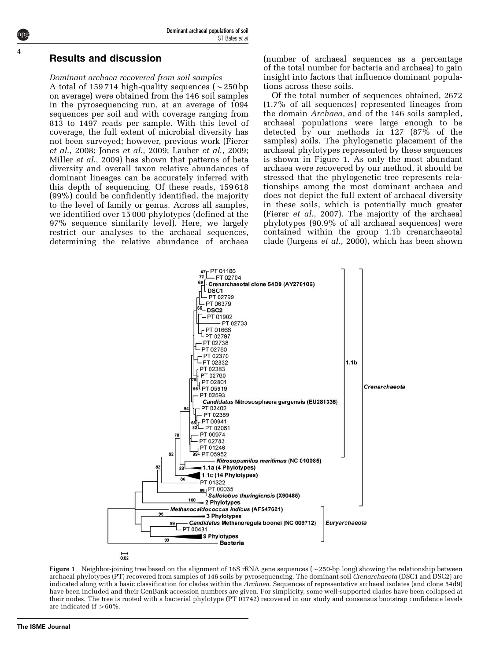#### Results and discussion

#### Dominant archaea recovered from soil samples

A total of 159 714 high-quality sequences ( $\sim$  250 bp on average) were obtained from the 146 soil samples in the pyrosequencing run, at an average of 1094 sequences per soil and with coverage ranging from 813 to 1497 reads per sample. With this level of coverage, the full extent of microbial diversity has not been surveyed; however, previous work [\(Fierer](#page-8-0) et al[., 2008](#page-8-0); Jones et al[., 2009](#page-9-0); Lauber et al[., 2009;](#page-9-0) Miller et al[., 2009\)](#page-9-0) has shown that patterns of beta diversity and overall taxon relative abundances of dominant lineages can be accurately inferred with this depth of sequencing. Of these reads, 159 618 (99%) could be confidently identified, the majority to the level of family or genus. Across all samples, we identified over 15 000 phylotypes (defined at the 97% sequence similarity level). Here, we largely restrict our analyses to the archaeal sequences, determining the relative abundance of archaea

(number of archaeal sequences as a percentage of the total number for bacteria and archaea) to gain insight into factors that influence dominant populations across these soils.

Of the total number of sequences obtained, 2672 (1.7% of all sequences) represented lineages from the domain *Archaea*, and of the 146 soils sampled, archaeal populations were large enough to be detected by our methods in 127 (87% of the samples) soils. The phylogenetic placement of the archaeal phylotypes represented by these sequences is shown in Figure 1. As only the most abundant archaea were recovered by our method, it should be stressed that the phylogenetic tree represents relationships among the most dominant archaea and does not depict the full extent of archaeal diversity in these soils, which is potentially much greater (Fierer et al[., 2007\)](#page-8-0). The majority of the archaeal phylotypes (90.9% of all archaeal sequences) were contained within the group 1.1b crenarchaeotal clade [\(Jurgens](#page-9-0) et al., 2000), which has been shown



 $\overline{0.02}$ 

Figure 1 Neighbor-joining tree based on the alignment of 16S rRNA gene sequences ( $\sim$ 250-bp long) showing the relationship between archaeal phylotypes (PT) recovered from samples of 146 soils by pyrosequencing. The dominant soil Crenarchaeota (DSC1 and DSC2) are indicated along with a basic classification for clades within the Archaea. Sequences of representative archaeal isolates (and clone 54d9) have been included and their GenBank accession numbers are given. For simplicity, some well-supported clades have been collapsed at their nodes. The tree is rooted with a bacterial phylotype (PT 01742) recovered in our study and consensus bootstrap confidence levels are indicated if  $>60\%$ .

<span id="page-3-0"></span>4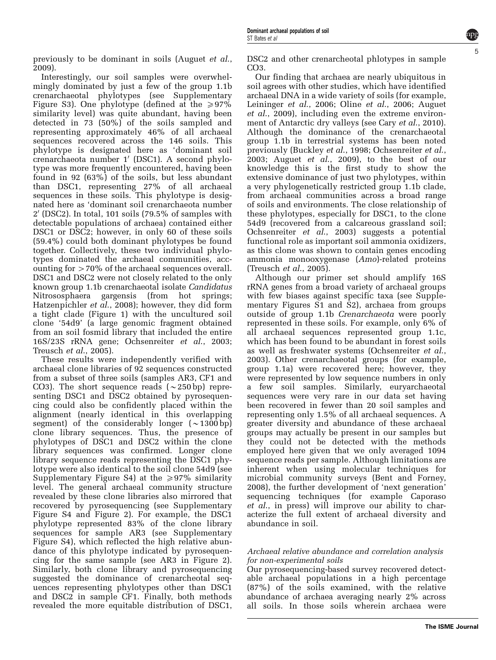previously to be dominant in soils ([Auguet](#page-8-0) et al., [2009\)](#page-8-0).

Interestingly, our soil samples were overwhelmingly dominated by just a few of the group 1.1b crenarchaeotal phylotypes (see Supplementary Figure S3). One phylotype (defined at the  $\geq 97\%$ similarity level) was quite abundant, having been detected in 73 (50%) of the soils sampled and representing approximately 46% of all archaeal sequences recovered across the 146 soils. This phylotype is designated here as 'dominant soil crenarchaeota number  $1'$  (DSC1). A second phylotype was more frequently encountered, having been found in 92 (63%) of the soils, but less abundant than DSC1, representing 27% of all archaeal sequences in these soils. This phylotype is designated here as 'dominant soil crenarchaeota number  $2'$  (DSC2). In total, 101 soils (79.5% of samples with detectable populations of archaea) contained either DSC1 or DSC2; however, in only 60 of these soils (59.4%) could both dominant phylotypes be found together. Collectively, these two individual phylotypes dominated the archaeal communities, accounting for  $>70\%$  of the archaeal sequences overall. DSC1 and DSC2 were not closely related to the only known group 1.1b crenarchaeotal isolate Candidatus Nitrososphaera gargensis (from hot springs; [Hatzenpichler](#page-8-0) et al., 2008); however, they did form a tight clade ([Figure 1](#page-3-0)) with the uncultured soil clone '54d9' (a large genomic fragment obtained from an soil fosmid library that included the entire 16S/23S rRNA gene; [Ochsenreiter](#page-9-0) et al., 2003; [Treusch](#page-9-0) et al., 2005).

These results were independently verified with archaeal clone libraries of 92 sequences constructed from a subset of three soils (samples AR3, CF1 and CO3). The short sequence reads  $({\sim}250$  bp) representing DSC1 and DSC2 obtained by pyrosequencing could also be confidently placed within the alignment (nearly identical in this overlapping segment) of the considerably longer  $(\sim 1300$  bp) clone library sequences. Thus, the presence of phylotypes of DSC1 and DSC2 within the clone library sequences was confirmed. Longer clone library sequence reads representing the DSC1 phylotype were also identical to the soil clone 54d9 (see Supplementary Figure S4) at the  $\geq 97\%$  similarity level. The general archaeal community structure revealed by these clone libraries also mirrored that recovered by pyrosequencing (see Supplementary Figure S4 and [Figure 2](#page-5-0)). For example, the DSC1 phylotype represented 83% of the clone library sequences for sample AR3 (see Supplementary Figure S4), which reflected the high relative abundance of this phylotype indicated by pyrosequencing for the same sample (see AR3 in [Figure 2\)](#page-5-0). Similarly, both clone library and pyrosequencing suggested the dominance of crenarcheotal sequences representing phylotypes other than DSC1 and DSC2 in sample CF1. Finally, both methods revealed the more equitable distribution of DSC1,

DSC2 and other crenarcheotal phlotypes in sample CO3.

Our finding that archaea are nearly ubiquitous in soil agrees with other studies, which have identified archaeal DNA in a wide variety of soils (for example, [Leininger](#page-9-0) et al., 2006; Oline et al[., 2006](#page-9-0); [Auguet](#page-8-0) et al[., 2009\)](#page-8-0), including even the extreme environment of Antarctic dry valleys (see Cary *et al.*, 2010). Although the dominance of the crenarchaeotal group 1.1b in terrestrial systems has been noted previously ([Buckley](#page-8-0) et al., 1998; [Ochsenreiter](#page-9-0) et al., [2003;](#page-9-0) Auguet et al[., 2009](#page-8-0)), to the best of our knowledge this is the first study to show the extensive dominance of just two phylotypes, within a very phylogenetically restricted group 1.1b clade, from archaeal communities across a broad range of soils and environments. The close relationship of these phylotypes, especially for DSC1, to the clone 54d9 (recovered from a calcareous grassland soil; [Ochsenreiter](#page-9-0) et al., 2003) suggests a potential functional role as important soil ammonia oxidizers, as this clone was shown to contain genes encoding ammonia monooxygenase (Amo)-related proteins [\(Treusch](#page-9-0) et al., 2005).

Although our primer set should amplify 16S rRNA genes from a broad variety of archaeal groups with few biases against specific taxa (see Supplementary Figures S1 and S2), archaea from groups outside of group 1.1b Crenarchaeota were poorly represented in these soils. For example, only 6% of all archaeal sequences represented group 1.1c, which has been found to be abundant in forest soils as well as freshwater systems [\(Ochsenreiter](#page-9-0) et al., [2003\)](#page-9-0). Other crenarchaeotal groups (for example, group 1.1a) were recovered here; however, they were represented by low sequence numbers in only a few soil samples. Similarly, euryarchaeotal sequences were very rare in our data set having been recovered in fewer than 20 soil samples and representing only 1.5% of all archaeal sequences. A greater diversity and abundance of these archaeal groups may actually be present in our samples but they could not be detected with the methods employed here given that we only averaged 1094 sequence reads per sample. Although limitations are inherent when using molecular techniques for microbial community surveys [\(Bent and Forney,](#page-8-0) [2008\)](#page-8-0), the further development of 'next generation' sequencing techniques (for example [Caporaso](#page-8-0) et al[., in press](#page-8-0)) will improve our ability to characterize the full extent of archaeal diversity and abundance in soil.

# Archaeal relative abundance and correlation analysis for non-experimental soils

Our pyrosequencing-based survey recovered detectable archaeal populations in a high percentage (87%) of the soils examined, with the relative abundance of archaea averaging nearly 2% across all soils. In those soils wherein archaea were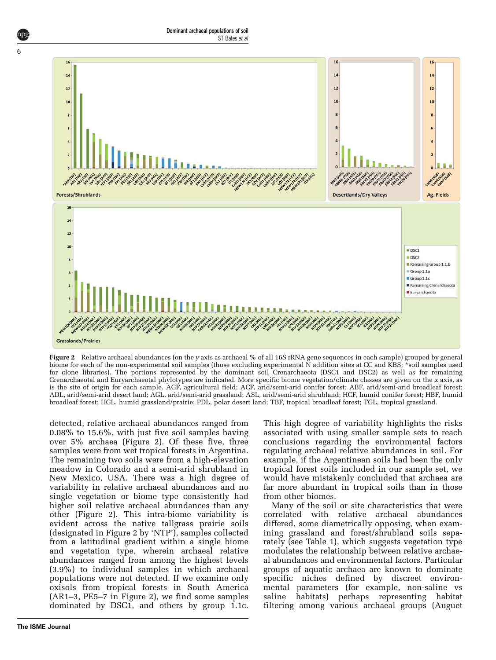<span id="page-5-0"></span>

Figure 2 Relative archaeal abundances (on the y axis as archaeal % of all 16S rRNA gene sequences in each sample) grouped by general biome for each of the non-experimental soil samples (those excluding experimental N addition sites at CC and KBS; \*soil samples used for clone libraries). The portions represented by the dominant soil Crenarchaeota (DSC1 and DSC2) as well as for remaining Crenarchaeotal and Euryarchaeotal phylotypes are indicated. More specific biome vegetation/climate classes are given on the x axis, as is the site of origin for each sample. AGF, agricultural field; ACF, arid/semi-arid conifer forest; ABF, arid/semi-arid broadleaf forest; ADL, arid/semi-arid desert land; AGL, arid/semi-arid grassland; ASL, arid/semi-arid shrubland; HCF, humid conifer forest; HBF, humid broadleaf forest; HGL, humid grassland/prairie; PDL, polar desert land; TBF, tropical broadleaf forest; TGL, tropical grassland.

detected, relative archaeal abundances ranged from 0.08% to 15.6%, with just five soil samples having over 5% archaea (Figure 2). Of these five, three samples were from wet tropical forests in Argentina. The remaining two soils were from a high-elevation meadow in Colorado and a semi-arid shrubland in New Mexico, USA. There was a high degree of variability in relative archaeal abundances and no single vegetation or biome type consistently had higher soil relative archaeal abundances than any other (Figure 2). This intra-biome variability is evident across the native tallgrass prairie soils (designated in Figure 2 by 'NTP'), samples collected from a latitudinal gradient within a single biome and vegetation type, wherein archaeal relative abundances ranged from among the highest levels (3.9%) to individual samples in which archaeal populations were not detected. If we examine only oxisols from tropical forests in South America (AR1–3, PE5–7 in Figure 2), we find some samples dominated by DSC1, and others by group 1.1c. This high degree of variability highlights the risks associated with using smaller sample sets to reach conclusions regarding the environmental factors regulating archaeal relative abundances in soil. For example, if the Argentinean soils had been the only tropical forest soils included in our sample set, we would have mistakenly concluded that archaea are far more abundant in tropical soils than in those from other biomes.

Many of the soil or site characteristics that were correlated with relative archaeal abundances differed, some diametrically opposing, when examining grassland and forest/shrubland soils separately (see [Table 1](#page-6-0)), which suggests vegetation type modulates the relationship between relative archaeal abundances and environmental factors. Particular groups of aquatic archaea are known to dominate specific niches defined by discreet environmental parameters (for example, non-saline vs saline habitats) perhaps representing habitat filtering among various archaeal groups [\(Auguet](#page-8-0)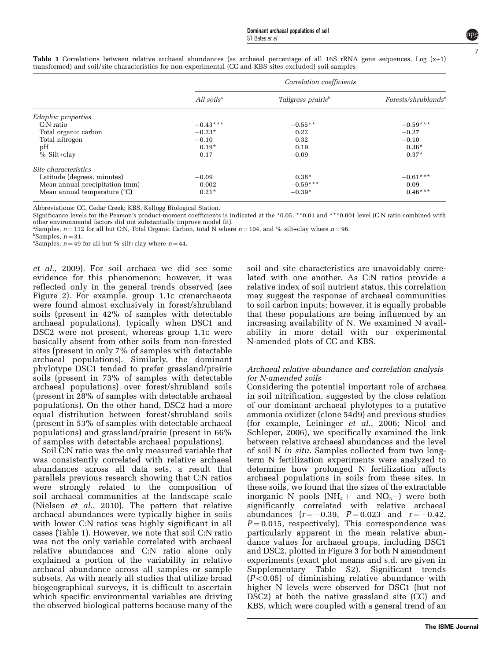|                                             | Correlation coefficients |                                |                                  |
|---------------------------------------------|--------------------------|--------------------------------|----------------------------------|
|                                             | All $soilsa$             | Tallgrass prairie <sup>b</sup> | For sets/shrublands <sup>c</sup> |
| Edaphic properties                          |                          |                                |                                  |
| $C: N$ ratio                                | $-0.43***$               | $-0.55**$                      | $-0.59***$                       |
| Total organic carbon                        | $-0.23*$                 | 0.22                           | $-0.27$                          |
| Total nitrogen                              | $-0.10$                  | 0.32                           | $-0.10$                          |
| pH                                          | $0.19*$                  | 0.19                           | $0.36*$                          |
| % Silt+clay                                 | 0.17                     | $-0.09$                        | $0.37*$                          |
| Site characteristics                        |                          |                                |                                  |
| Latitude (degrees, minutes)                 | $-0.09$                  | $0.38*$                        | $-0.61***$                       |
| Mean annual precipitation (mm)              | 0.002                    | $-0.59***$                     | 0.09                             |
| Mean annual temperature $(^\circ \text{C})$ | $0.21*$                  | $-0.39*$                       | $0.46***$                        |

<span id="page-6-0"></span>Table 1 Correlations between relative archaeal abundances (as archaeal percentage of all 16S rRNA gene sequences, Log (x+1) transformed) and soil/site characteristics for non-experimental (CC and KBS sites excluded) soil samples

Abbreviations: CC, Cedar Creek; KBS, Kellogg Biological Station.

Significance levels for the Pearson's product-moment coefficients is indicated at the \*0.05, \*\*0.01 and \*\*\*0.001 level (C:N ratio combined with other environmental factors did not substantially improve model fit).

"Samples,  $n = 112$  for all but C:N, Total Organic Carbon, total N where  $n = 104$ , and % silt+clay where  $n = 96$ .

 $b$ Samples,  $n = 31$ .<br>
"Samples,  $n = 49$ 

"Samples,  $n = 49$  for all but % silt+clay where  $n = 44$ .

et al[., 2009](#page-8-0)). For soil archaea we did see some evidence for this phenomenon; however, it was reflected only in the general trends observed (see [Figure 2\)](#page-5-0). For example, group 1.1c crenarchaeota were found almost exclusively in forest/shrubland soils (present in 42% of samples with detectable archaeal populations), typically when DSC1 and DSC2 were not present, whereas group 1.1c were basically absent from other soils from non-forested sites (present in only 7% of samples with detectable archaeal populations). Similarly, the dominant phylotype DSC1 tended to prefer grassland/prairie soils (present in 73% of samples with detectable archaeal populations) over forest/shrubland soils (present in 28% of samples with detectable archaeal populations). On the other hand, DSC2 had a more equal distribution between forest/shrubland soils (present in 53% of samples with detectable archaeal populations) and grassland/prairie (present in 66% of samples with detectable archaeal populations).

Soil C:N ratio was the only measured variable that was consistently correlated with relative archaeal abundances across all data sets, a result that parallels previous research showing that C:N ratios were strongly related to the composition of soil archaeal communities at the landscape scale [\(Nielsen](#page-9-0) *et al.*, 2010). The pattern that relative archaeal abundances were typically higher in soils with lower C:N ratios was highly significant in all cases (Table 1). However, we note that soil C:N ratio was not the only variable correlated with archaeal relative abundances and C:N ratio alone only explained a portion of the variability in relative archaeal abundance across all samples or sample subsets. As with nearly all studies that utilize broad biogeographical surveys, it is difficult to ascertain which specific environmental variables are driving the observed biological patterns because many of the

soil and site characteristics are unavoidably correlated with one another. As C:N ratios provide a relative index of soil nutrient status, this correlation may suggest the response of archaeal communities to soil carbon inputs; however, it is equally probable that these populations are being influenced by an increasing availability of N. We examined N availability in more detail with our experimental N-amended plots of CC and KBS.

#### Archaeal relative abundance and correlation analysis for N-amended soils

Considering the potential important role of archaea in soil nitrification, suggested by the close relation of our dominant archaeal phylotypes to a putative ammonia oxidizer (clone 54d9) and previous studies (for example, [Leininger](#page-9-0) et al., 2006; [Nicol and](#page-9-0) [Schleper, 2006\)](#page-9-0), we specifically examined the link between relative archaeal abundances and the level of soil N in situ. Samples collected from two longterm N fertilization experiments were analyzed to determine how prolonged N fertilization affects archaeal populations in soils from these sites. In these soils, we found that the sizes of the extractable inorganic N pools ( $NH_4+$  and  $NO_3-$ ) were both significantly correlated with relative archaeal abundances  $(r = -0.39, P = 0.023$  and  $r = -0.42$ ,  $P = 0.015$ , respectively). This correspondence was particularly apparent in the mean relative abundance values for archaeal groups, including DSC1 and DSC2, plotted in [Figure 3](#page-7-0) for both N amendment experiments (exact plot means and s.d. are given in Supplementary Table S2). Significant trends  $(P<0.05)$  of diminishing relative abundance with higher N levels were observed for DSC1 (but not DSC2) at both the native grassland site (CC) and KBS, which were coupled with a general trend of an 7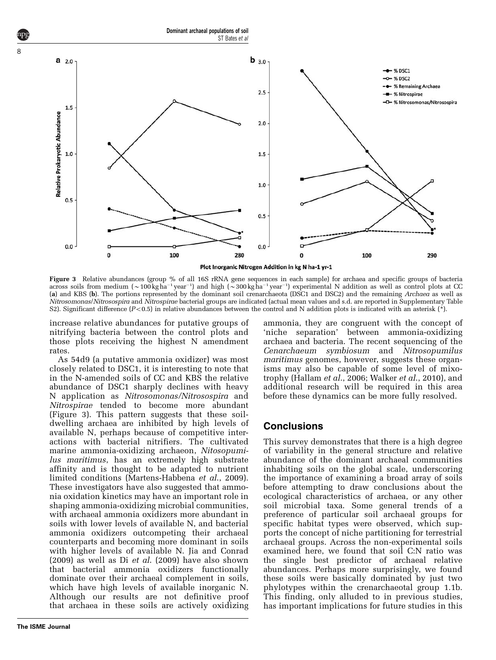<span id="page-7-0"></span>

Figure 3 Relative abundances (group % of all 16S rRNA gene sequences in each sample) for archaea and specific groups of bacteria across soils from medium ( $\sim$ 100kgha<sup>-1</sup> year<sup>-1</sup>) and high ( $\sim$ 300kgha<sup>-1</sup> year<sup>-1</sup>) experimental N addition as well as control plots at CC (a) and KBS (b). The portions represented by the dominant soil crenarchaeota (DSC1 and DSC2) and the remaining Archaea as well as Nitrosomonas/Nitrosospira and Nitrospirae bacterial groups are indicated (actual mean values and s.d. are reported in Supplementary Table S2). Significant difference  $(P<0.5)$  in relative abundances between the control and N addition plots is indicated with an asterisk  $(*)$ .

increase relative abundances for putative groups of nitrifying bacteria between the control plots and those plots receiving the highest N amendment rates.

As 54d9 (a putative ammonia oxidizer) was most closely related to DSC1, it is interesting to note that in the N-amended soils of CC and KBS the relative abundance of DSC1 sharply declines with heavy N application as Nitrosomonas/Nitrosospira and Nitrospirae tended to become more abundant (Figure 3). This pattern suggests that these soildwelling archaea are inhibited by high levels of available N, perhaps because of competitive interactions with bacterial nitrifiers. The cultivated marine ammonia-oxidizing archaeon, Nitosopumilus maritimus, has an extremely high substrate affinity and is thought to be adapted to nutrient limited conditions ([Martens-Habbena](#page-9-0) et al., 2009). These investigators have also suggested that ammonia oxidation kinetics may have an important role in shaping ammonia-oxidizing microbial communities, with archaeal ammonia oxidizers more abundant in soils with lower levels of available N, and bacterial ammonia oxidizers outcompeting their archaeal counterparts and becoming more dominant in soils with higher levels of available N. [Jia and Conrad](#page-8-0) [\(2009\)](#page-8-0) as well as Di et al[. \(2009\)](#page-8-0) have also shown that bacterial ammonia oxidizers functionally dominate over their archaeal complement in soils, which have high levels of available inorganic N. Although our results are not definitive proof that archaea in these soils are actively oxidizing

8

ammonia, they are congruent with the concept of 'niche separation' between ammonia-oxidizing archaea and bacteria. The recent sequencing of the Cenarchaeum symbiosum and Nitrosopumilus maritimus genomes, however, suggests these organisms may also be capable of some level of mixotrophy [\(Hallam](#page-8-0) et al., 2006; [Walker](#page-9-0) et al., 2010), and additional research will be required in this area before these dynamics can be more fully resolved.

#### **Conclusions**

This survey demonstrates that there is a high degree of variability in the general structure and relative abundance of the dominant archaeal communities inhabiting soils on the global scale, underscoring the importance of examining a broad array of soils before attempting to draw conclusions about the ecological characteristics of archaea, or any other soil microbial taxa. Some general trends of a preference of particular soil archaeal groups for specific habitat types were observed, which supports the concept of niche partitioning for terrestrial archaeal groups. Across the non-experimental soils examined here, we found that soil C:N ratio was the single best predictor of archaeal relative abundances. Perhaps more surprisingly, we found these soils were basically dominated by just two phylotypes within the crenarchaeotal group 1.1b. This finding, only alluded to in previous studies, has important implications for future studies in this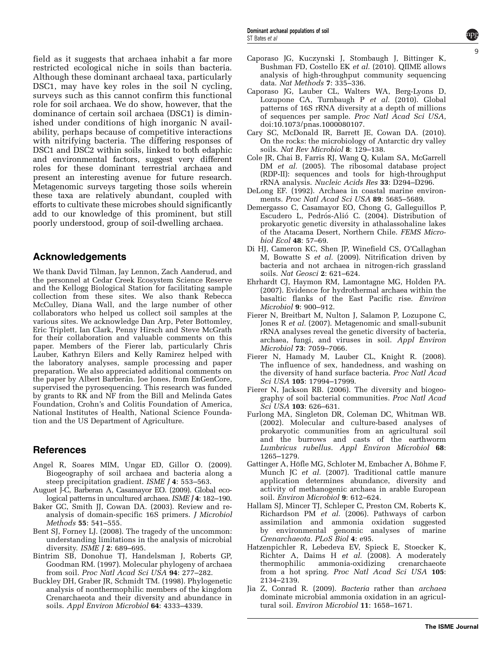<span id="page-8-0"></span>field as it suggests that archaea inhabit a far more restricted ecological niche in soils than bacteria. Although these dominant archaeal taxa, particularly DSC1, may have key roles in the soil N cycling, surveys such as this cannot confirm this functional role for soil archaea. We do show, however, that the dominance of certain soil archaea (DSC1) is diminished under conditions of high inorganic N availability, perhaps because of competitive interactions with nitrifying bacteria. The differing responses of DSC1 and DSC2 within soils, linked to both edaphic and environmental factors, suggest very different roles for these dominant terrestrial archaea and present an interesting avenue for future research. Metagenomic surveys targeting those soils wherein these taxa are relatively abundant, coupled with efforts to cultivate these microbes should significantly add to our knowledge of this prominent, but still poorly understood, group of soil-dwelling archaea.

# Acknowledgements

We thank David Tilman, Jay Lennon, Zach Aanderud, and the personnel at Cedar Creek Ecosystem Science Reserve and the Kellogg Biological Station for facilitating sample collection from these sites. We also thank Rebecca McCulley, Diana Wall, and the large number of other collaborators who helped us collect soil samples at the various sites. We acknowledge Dan Arp, Peter Bottomley, Eric Triplett, Ian Clark, Penny Hirsch and Steve McGrath for their collaboration and valuable comments on this paper. Members of the Fierer lab, particularly Chris Lauber, Kathryn Eilers and Kelly Ramirez helped with the laboratory analyses, sample processing and paper preparation. We also appreciated additional comments on the paper by Albert Barberán. Joe Jones, from EnGenCore, supervised the pyrosequencing. This research was funded by grants to RK and NF from the Bill and Melinda Gates Foundation, Crohn's and Colitis Foundation of America, National Institutes of Health, National Science Foundation and the US Department of Agriculture.

# References

- Angel R, Soares MIM, Ungar ED, Gillor O. (2009). Biogeography of soil archaea and bacteria along a steep precipitation gradient. ISME J 4: 553-563.
- Auguet J-C, Barberan A, Casamayor EO. (2009). Global ecological patterns in uncultured archaea. ISME J 4: 182–190.
- Baker GC, Smith JJ, Cowan DA. (2003). Review and reanalysis of domain-specific 16S primers. J Microbiol Methods 55: 541–555.
- Bent SJ, Forney LJ. (2008). The tragedy of the uncommon: understanding limitations in the analysis of microbial diversity. ISME J 2: 689–695.
- Bintrim SB, Donohue TJ, Handelsman J, Roberts GP, Goodman RM. (1997). Molecular phylogeny of archaea from soil. Proc Natl Acad Sci USA 94: 277–282.
- Buckley DH, Graber JR, Schmidt TM. (1998). Phylogenetic analysis of nonthermophilic members of the kingdom Crenarchaeota and their diversity and abundance in soils. Appl Environ Microbiol 64: 4333–4339.

Caporaso JG, Kuczynski J, Stombaugh J, Bittinger K, Bushman FD, Costello EK et al. (2010). QIIME allows analysis of high-throughput community sequencing data. Nat Methods 7: 335–336.

9

- Caporaso JG, Lauber CL, Walters WA, Berg-Lyons D, Lozupone CA, Turnbaugh P et al. (2010). Global patterns of 16S rRNA diversity at a depth of millions of sequences per sample. Proc Natl Acad Sci USA, doi:10.1073/pnas.1000080107.
- Cary SC, McDonald IR, Barrett JE, Cowan DA. (2010). On the rocks: the microbiology of Antarctic dry valley soils. Nat Rev Microbiol 8: 129–138.
- Cole JR, Chai B, Farris RJ, Wang Q, Kulam SA, McGarrell DM et al. (2005). The ribosomal database project (RDP-II): sequences and tools for high-throughput rRNA analysis. Nucleic Acids Res 33: D294–D296.
- DeLong EF. (1992). Archaea in coastal marine environments. Proc Natl Acad Sci USA 89: 5685–5689.
- Demergasso C, Casamayor EO, Chong G, Galleguillos P, Escudero L, Pedrós-Alió C. (2004). Distribution of prokaryotic genetic diversity in athalassohaline lakes of the Atacama Desert, Northern Chile. FEMS Microbiol Ecol 48: 57–69.
- Di HJ, Cameron KC, Shen JP, Winefield CS, O'Callaghan M, Bowatte S et al. (2009). Nitrification driven by bacteria and not archaea in nitrogen-rich grassland soils. Nat Geosci 2: 621–624.
- Ehrhardt CJ, Haymon RM, Lamontagne MG, Holden PA. (2007). Evidence for hydrothermal archaea within the basaltic flanks of the East Pacific rise. Environ Microbiol 9: 900–912.
- Fierer N, Breitbart M, Nulton J, Salamon P, Lozupone C, Jones R et al. (2007). Metagenomic and small-subunit rRNA analyses reveal the genetic diversity of bacteria, archaea, fungi, and viruses in soil. Appl Environ Microbiol 73: 7059–7066.
- Fierer N, Hamady M, Lauber CL, Knight R. (2008). The influence of sex, handedness, and washing on the diversity of hand surface bacteria. Proc Natl Acad Sci USA 105: 17994–17999.
- Fierer N, Jackson RB. (2006). The diversity and biogeography of soil bacterial communities. Proc Natl Acad Sci USA 103: 626–631.
- Furlong MA, Singleton DR, Coleman DC, Whitman WB. (2002). Molecular and culture-based analyses of prokaryotic communities from an agricultural soil and the burrows and casts of the earthworm Lumbricus rubellus. Appl Environ Microbiol 68: 1265–1279.
- Gattinger A, Höfle MG, Schloter M, Embacher A, Böhme F, Munch JC et al. (2007). Traditional cattle manure application determines abundance, diversity and activity of methanogenic archaea in arable European soil. Environ Microbiol 9: 612–624.
- Hallam SJ, Mincer TJ, Schleper C, Preston CM, Roberts K, Richardson PM et al. (2006). Pathways of carbon assimilation and ammonia oxidation suggested by environmental genomic analyses of marine Crenarchaeota. PLoS Biol 4: e95.
- Hatzenpichler R, Lebedeva EV, Spieck E, Stoecker K, Richter A, Daims H et al. (2008). A moderately thermophilic ammonia-oxidizing crenarchaeote from a hot spring. Proc Natl Acad Sci USA 105: 2134–2139.
- Jia Z, Conrad R. (2009). Bacteria rather than archaea dominate microbial ammonia oxidation in an agricultural soil. Environ Microbiol 11: 1658–1671.